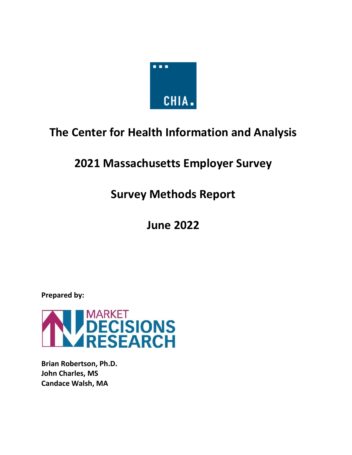

# **The Center for Health Information and Analysis**

# **2021 Massachusetts Employer Survey**

# **Survey Methods Report**

# **June 2022**

**Prepared by:**



**Brian Robertson, Ph.D. John Charles, MS Candace Walsh, MA**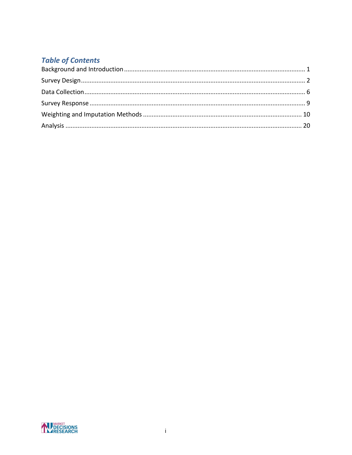# **Table of Contents**

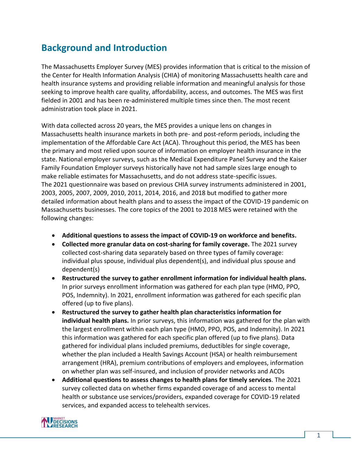# <span id="page-2-0"></span>**Background and Introduction**

The Massachusetts Employer Survey (MES) provides information that is critical to the mission of the Center for Health Information Analysis (CHIA) of monitoring Massachusetts health care and health insurance systems and providing reliable information and meaningful analysis for those seeking to improve health care quality, affordability, access, and outcomes. The MES was first fielded in 2001 and has been re-administered multiple times since then. The most recent administration took place in 2021.

With data collected across 20 years, the MES provides a unique lens on changes in Massachusetts health insurance markets in both pre- and post-reform periods, including the implementation of the Affordable Care Act (ACA). Throughout this period, the MES has been the primary and most relied upon source of information on employer health insurance in the state. National employer surveys, such as the Medical Expenditure Panel Survey and the Kaiser Family Foundation Employer surveys historically have not had sample sizes large enough to make reliable estimates for Massachusetts, and do not address state-specific issues. The 2021 questionnaire was based on previous CHIA survey instruments administered in 2001, 2003, 2005, 2007, 2009, 2010, 2011, 2014, 2016, and 2018 but modified to gather more detailed information about health plans and to assess the impact of the COVID-19 pandemic on Massachusetts businesses. The core topics of the 2001 to 2018 MES were retained with the following changes:

- **Additional questions to assess the impact of COVID-19 on workforce and benefits.**
- **Collected more granular data on cost-sharing for family coverage.** The 2021 survey collected cost-sharing data separately based on three types of family coverage: individual plus spouse, individual plus dependent(s), and individual plus spouse and dependent(s)
- **Restructured the survey to gather enrollment information for individual health plans.** In prior surveys enrollment information was gathered for each plan type (HMO, PPO, POS, Indemnity). In 2021, enrollment information was gathered for each specific plan offered (up to five plans).
- **Restructured the survey to gather health plan characteristics information for individual health plans.** In prior surveys, this information was gathered for the plan with the largest enrollment within each plan type (HMO, PPO, POS, and Indemnity). In 2021 this information was gathered for each specific plan offered (up to five plans). Data gathered for individual plans included premiums, deductibles for single coverage, whether the plan included a Health Savings Account (HSA) or health reimbursement arrangement (HRA), premium contributions of employers and employees, information on whether plan was self-insured, and inclusion of provider networks and ACOs
- **Additional questions to assess changes to health plans for timely services**. The 2021 survey collected data on whether firms expanded coverage of and access to mental health or substance use services/providers, expanded coverage for COVID-19 related services, and expanded access to telehealth services.

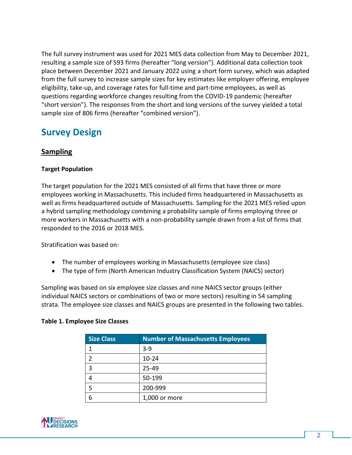The full survey instrument was used for 2021 MES data collection from May to December 2021, resulting a sample size of 593 firms (hereafter "long version"). Additional data collection took place between December 2021 and January 2022 using a short form survey, which was adapted from the full survey to increase sample sizes for key estimates like employer offering, employee eligibility, take-up, and coverage rates for full-time and part-time employees, as well as questions regarding workforce changes resulting from the COVID-19 pandemic (hereafter "short version"). The responses from the short and long versions of the survey yielded a total sample size of 806 firms (hereafter "combined version").

# <span id="page-3-0"></span>**Survey Design**

# **Sampling**

## **Target Population**

The target population for the 2021 MES consisted of all firms that have three or more employees working in Massachusetts. This included firms headquartered in Massachusetts as well as firms headquartered outside of Massachusetts. Sampling for the 2021 MES relied upon a hybrid sampling methodology combining a probability sample of firms employing three or more workers in Massachusetts with a non-probability sample drawn from a list of firms that responded to the 2016 or 2018 MES.

Stratification was based on:

- The number of employees working in Massachusetts (employee size class)
- The type of firm (North American Industry Classification System (NAICS) sector)

Sampling was based on six employee size classes and nine NAICS sector groups (either individual NAICS sectors or combinations of two or more sectors) resulting in 54 sampling strata. The employee size classes and NAICS groups are presented in the following two tables.

#### **Table 1. Employee Size Classes**

| <b>Size Class</b> | <b>Number of Massachusetts Employees</b> |
|-------------------|------------------------------------------|
|                   | $3 - 9$                                  |
|                   | $10 - 24$                                |
| 3                 | $25 - 49$                                |
|                   | 50-199                                   |
|                   | 200-999                                  |
| 6                 | 1,000 or more                            |

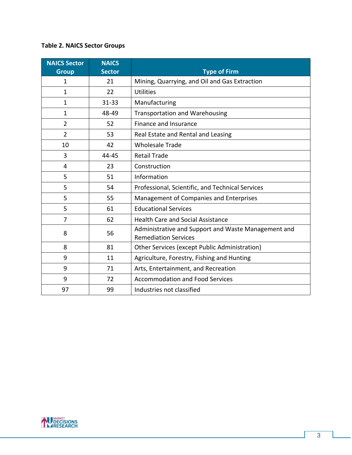# **Table 2. NAICS Sector Groups**

| <b>NAICS Sector</b> | <b>NAICS</b>  |                                                                                    |
|---------------------|---------------|------------------------------------------------------------------------------------|
| <b>Group</b>        | <b>Sector</b> | <b>Type of Firm</b>                                                                |
| 1                   | 21            | Mining, Quarrying, and Oil and Gas Extraction                                      |
| 1                   | 22            | <b>Utilities</b>                                                                   |
| $\mathbf{1}$        | $31 - 33$     | Manufacturing                                                                      |
| $\mathbf{1}$        | 48-49         | <b>Transportation and Warehousing</b>                                              |
| $\overline{2}$      | 52            | Finance and Insurance                                                              |
| $\overline{2}$      | 53            | Real Estate and Rental and Leasing                                                 |
| 10                  | 42            | <b>Wholesale Trade</b>                                                             |
| 3                   | 44-45         | <b>Retail Trade</b>                                                                |
| 4                   | 23            | Construction                                                                       |
| 5                   | 51            | Information                                                                        |
| 5                   | 54            | Professional, Scientific, and Technical Services                                   |
| 5                   | 55            | Management of Companies and Enterprises                                            |
| 5                   | 61            | <b>Educational Services</b>                                                        |
| $\overline{7}$      | 62            | <b>Health Care and Social Assistance</b>                                           |
| 8                   | 56            | Administrative and Support and Waste Management and<br><b>Remediation Services</b> |
| 8                   | 81            | Other Services (except Public Administration)                                      |
| 9                   | 11            | Agriculture, Forestry, Fishing and Hunting                                         |
| 9                   | 71            | Arts, Entertainment, and Recreation                                                |
| 9                   | 72            | <b>Accommodation and Food Services</b>                                             |
| 97                  | 99            | Industries not classified                                                          |

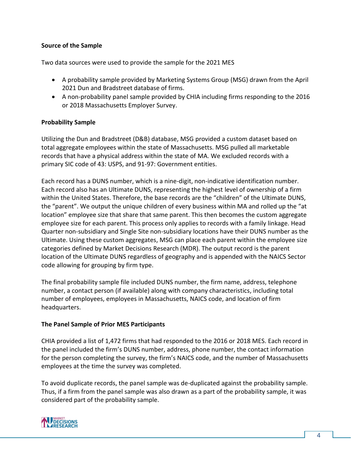#### **Source of the Sample**

Two data sources were used to provide the sample for the 2021 MES

- A probability sample provided by Marketing Systems Group (MSG) drawn from the April 2021 Dun and Bradstreet database of firms.
- A non-probability panel sample provided by CHIA including firms responding to the 2016 or 2018 Massachusetts Employer Survey.

#### **Probability Sample**

Utilizing the Dun and Bradstreet (D&B) database, MSG provided a custom dataset based on total aggregate employees within the state of Massachusetts. MSG pulled all marketable records that have a physical address within the state of MA. We excluded records with a primary SIC code of 43: USPS, and 91-97: Government entities.

Each record has a DUNS number, which is a nine-digit, non-indicative identification number. Each record also has an Ultimate DUNS, representing the highest level of ownership of a firm within the United States. Therefore, the base records are the "children" of the Ultimate DUNS, the "parent". We output the unique children of every business within MA and rolled up the "at location" employee size that share that same parent. This then becomes the custom aggregate employee size for each parent. This process only applies to records with a family linkage. Head Quarter non-subsidiary and Single Site non-subsidiary locations have their DUNS number as the Ultimate. Using these custom aggregates, MSG can place each parent within the employee size categories defined by Market Decisions Research (MDR). The output record is the parent location of the Ultimate DUNS regardless of geography and is appended with the NAICS Sector code allowing for grouping by firm type.

The final probability sample file included DUNS number, the firm name, address, telephone number, a contact person (if available) along with company characteristics, including total number of employees, employees in Massachusetts, NAICS code, and location of firm headquarters.

#### **The Panel Sample of Prior MES Participants**

CHIA provided a list of 1,472 firms that had responded to the 2016 or 2018 MES. Each record in the panel included the firm's DUNS number, address, phone number, the contact information for the person completing the survey, the firm's NAICS code, and the number of Massachusetts employees at the time the survey was completed.

To avoid duplicate records, the panel sample was de-duplicated against the probability sample. Thus, if a firm from the panel sample was also drawn as a part of the probability sample, it was considered part of the probability sample.

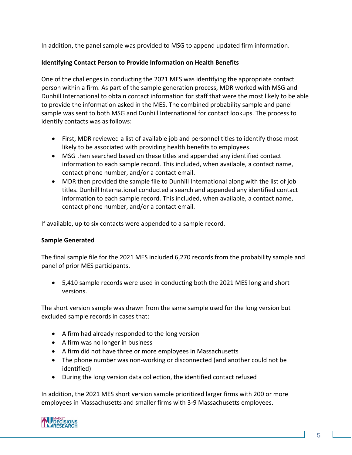In addition, the panel sample was provided to MSG to append updated firm information.

### **Identifying Contact Person to Provide Information on Health Benefits**

One of the challenges in conducting the 2021 MES was identifying the appropriate contact person within a firm. As part of the sample generation process, MDR worked with MSG and Dunhill International to obtain contact information for staff that were the most likely to be able to provide the information asked in the MES. The combined probability sample and panel sample was sent to both MSG and Dunhill International for contact lookups. The process to identify contacts was as follows:

- First, MDR reviewed a list of available job and personnel titles to identify those most likely to be associated with providing health benefits to employees.
- MSG then searched based on these titles and appended any identified contact information to each sample record. This included, when available, a contact name, contact phone number, and/or a contact email.
- MDR then provided the sample file to Dunhill International along with the list of job titles. Dunhill International conducted a search and appended any identified contact information to each sample record. This included, when available, a contact name, contact phone number, and/or a contact email.

If available, up to six contacts were appended to a sample record.

# **Sample Generated**

The final sample file for the 2021 MES included 6,270 records from the probability sample and panel of prior MES participants.

• 5,410 sample records were used in conducting both the 2021 MES long and short versions.

The short version sample was drawn from the same sample used for the long version but excluded sample records in cases that:

- A firm had already responded to the long version
- A firm was no longer in business
- A firm did not have three or more employees in Massachusetts
- The phone number was non-working or disconnected (and another could not be identified)
- During the long version data collection, the identified contact refused

In addition, the 2021 MES short version sample prioritized larger firms with 200 or more employees in Massachusetts and smaller firms with 3-9 Massachusetts employees.

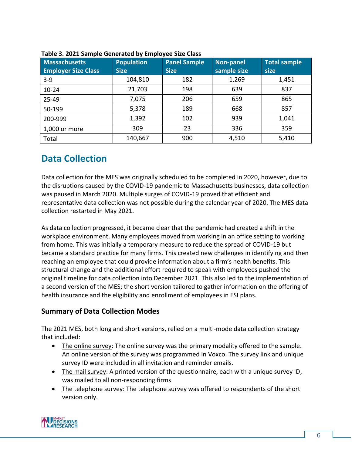| <b>Massachusetts</b><br><b>Employer Size Class</b> | <b>Population</b><br><b>Size</b> | <b>Panel Sample</b><br><b>Size</b> | Non-panel<br>sample size | <b>Total sample</b><br>size |
|----------------------------------------------------|----------------------------------|------------------------------------|--------------------------|-----------------------------|
| $3 - 9$                                            | 104,810                          | 182                                | 1,269                    | 1,451                       |
| $10 - 24$                                          | 21,703                           | 198                                | 639                      | 837                         |
| 25-49                                              | 7,075                            | 206                                | 659                      | 865                         |
| 50-199                                             | 5,378                            | 189                                | 668                      | 857                         |
| 200-999                                            | 1,392                            | 102                                | 939                      | 1,041                       |
| 1,000 or more                                      | 309                              | 23                                 | 336                      | 359                         |
| Total                                              | 140,667                          | 900                                | 4,510                    | 5,410                       |

# <span id="page-7-0"></span>**Data Collection**

Data collection for the MES was originally scheduled to be completed in 2020, however, due to the disruptions caused by the COVID-19 pandemic to Massachusetts businesses, data collection was paused in March 2020. Multiple surges of COVID-19 proved that efficient and representative data collection was not possible during the calendar year of 2020. The MES data collection restarted in May 2021.

As data collection progressed, it became clear that the pandemic had created a shift in the workplace environment. Many employees moved from working in an office setting to working from home. This was initially a temporary measure to reduce the spread of COVID-19 but became a standard practice for many firms. This created new challenges in identifying and then reaching an employee that could provide information about a firm's health benefits. This structural change and the additional effort required to speak with employees pushed the original timeline for data collection into December 2021. This also led to the implementation of a second version of the MES; the short version tailored to gather information on the offering of health insurance and the eligibility and enrollment of employees in ESI plans.

# **Summary of Data Collection Modes**

The 2021 MES, both long and short versions, relied on a multi-mode data collection strategy that included:

- The online survey: The online survey was the primary modality offered to the sample. An online version of the survey was programmed in Voxco. The survey link and unique survey ID were included in all invitation and reminder emails.
- The mail survey: A printed version of the questionnaire, each with a unique survey ID, was mailed to all non-responding firms
- The telephone survey: The telephone survey was offered to respondents of the short version only.

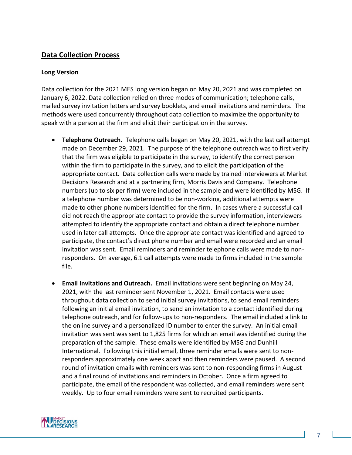# **Data Collection Process**

#### **Long Version**

Data collection for the 2021 MES long version began on May 20, 2021 and was completed on January 6, 2022. Data collection relied on three modes of communication; telephone calls, mailed survey invitation letters and survey booklets, and email invitations and reminders. The methods were used concurrently throughout data collection to maximize the opportunity to speak with a person at the firm and elicit their participation in the survey.

- **Telephone Outreach.** Telephone calls began on May 20, 2021, with the last call attempt made on December 29, 2021. The purpose of the telephone outreach was to first verify that the firm was eligible to participate in the survey, to identify the correct person within the firm to participate in the survey, and to elicit the participation of the appropriate contact. Data collection calls were made by trained interviewers at Market Decisions Research and at a partnering firm, Morris Davis and Company. Telephone numbers (up to six per firm) were included in the sample and were identified by MSG. If a telephone number was determined to be non-working, additional attempts were made to other phone numbers identified for the firm. In cases where a successful call did not reach the appropriate contact to provide the survey information, interviewers attempted to identify the appropriate contact and obtain a direct telephone number used in later call attempts. Once the appropriate contact was identified and agreed to participate, the contact's direct phone number and email were recorded and an email invitation was sent. Email reminders and reminder telephone calls were made to nonresponders. On average, 6.1 call attempts were made to firms included in the sample file.
- **Email Invitations and Outreach.** Email invitations were sent beginning on May 24, 2021, with the last reminder sent November 1, 2021. Email contacts were used throughout data collection to send initial survey invitations, to send email reminders following an initial email invitation, to send an invitation to a contact identified during telephone outreach, and for follow-ups to non-responders. The email included a link to the online survey and a personalized ID number to enter the survey. An initial email invitation was sent was sent to 1,825 firms for which an email was identified during the preparation of the sample. These emails were identified by MSG and Dunhill International. Following this initial email, three reminder emails were sent to nonresponders approximately one week apart and then reminders were paused. A second round of invitation emails with reminders was sent to non-responding firms in August and a final round of invitations and reminders in October. Once a firm agreed to participate, the email of the respondent was collected, and email reminders were sent weekly. Up to four email reminders were sent to recruited participants.

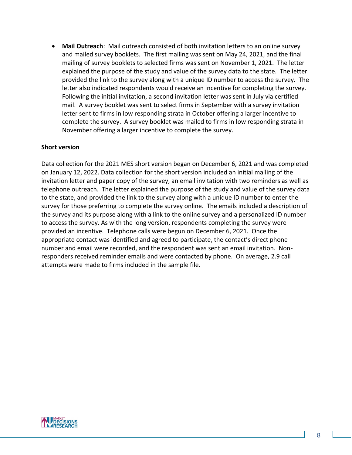• **Mail Outreach**: Mail outreach consisted of both invitation letters to an online survey and mailed survey booklets. The first mailing was sent on May 24, 2021, and the final mailing of survey booklets to selected firms was sent on November 1, 2021. The letter explained the purpose of the study and value of the survey data to the state. The letter provided the link to the survey along with a unique ID number to access the survey. The letter also indicated respondents would receive an incentive for completing the survey. Following the initial invitation, a second invitation letter was sent in July via certified mail. A survey booklet was sent to select firms in September with a survey invitation letter sent to firms in low responding strata in October offering a larger incentive to complete the survey. A survey booklet was mailed to firms in low responding strata in November offering a larger incentive to complete the survey.

#### **Short version**

Data collection for the 2021 MES short version began on December 6, 2021 and was completed on January 12, 2022. Data collection for the short version included an initial mailing of the invitation letter and paper copy of the survey, an email invitation with two reminders as well as telephone outreach. The letter explained the purpose of the study and value of the survey data to the state, and provided the link to the survey along with a unique ID number to enter the survey for those preferring to complete the survey online. The emails included a description of the survey and its purpose along with a link to the online survey and a personalized ID number to access the survey. As with the long version, respondents completing the survey were provided an incentive. Telephone calls were begun on December 6, 2021. Once the appropriate contact was identified and agreed to participate, the contact's direct phone number and email were recorded, and the respondent was sent an email invitation. Nonresponders received reminder emails and were contacted by phone. On average, 2.9 call attempts were made to firms included in the sample file.

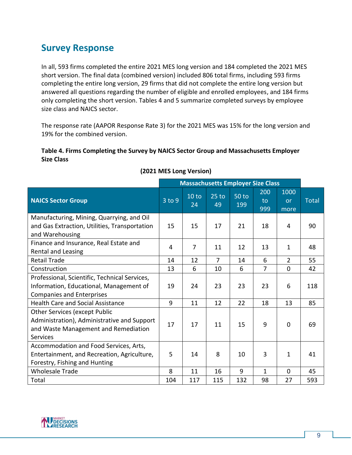# <span id="page-10-0"></span>**Survey Response**

In all, 593 firms completed the entire 2021 MES long version and 184 completed the 2021 MES short version. The final data (combined version) included 806 total firms, including 593 firms completing the entire long version, 29 firms that did not complete the entire long version but answered all questions regarding the number of eligible and enrolled employees, and 184 firms only completing the short version. Tables 4 and 5 summarize completed surveys by employee size class and NAICS sector.

The response rate (AAPOR Response Rate 3) for the 2021 MES was 15% for the long version and 19% for the combined version.

#### **Table 4. Firms Completing the Survey by NAICS Sector Group and Massachusetts Employer Size Class**

|                                                                                                                                         | <b>Massachusetts Employer Size Class</b> |             |                |                     |                  |                           |              |
|-----------------------------------------------------------------------------------------------------------------------------------------|------------------------------------------|-------------|----------------|---------------------|------------------|---------------------------|--------------|
| <b>NAICS Sector Group</b>                                                                                                               | 3 to 9                                   | 10 to<br>24 | $25$ to<br>49  | <b>50 to</b><br>199 | 200<br>to<br>999 | 1000<br><b>or</b><br>more | <b>Total</b> |
| Manufacturing, Mining, Quarrying, and Oil<br>and Gas Extraction, Utilities, Transportation<br>and Warehousing                           | 15                                       | 15          | 17             | 21                  | 18               | 4                         | 90           |
| Finance and Insurance, Real Estate and<br>Rental and Leasing                                                                            | 4                                        | 7           | 11             | 12                  | 13               | $\mathbf{1}$              | 48           |
| <b>Retail Trade</b>                                                                                                                     | 14                                       | 12          | $\overline{7}$ | 14                  | 6                | $\overline{2}$            | 55           |
| Construction                                                                                                                            | 13                                       | 6           | 10             | 6                   | $\overline{7}$   | $\mathbf 0$               | 42           |
| Professional, Scientific, Technical Services,<br>Information, Educational, Management of<br><b>Companies and Enterprises</b>            | 19                                       | 24          | 23             | 23                  | 23               | 6                         | 118          |
| <b>Health Care and Social Assistance</b>                                                                                                | 9                                        | 11          | 12             | 22                  | 18               | 13                        | 85           |
| <b>Other Services (except Public</b><br>Administration), Administrative and Support<br>and Waste Management and Remediation<br>Services | 17                                       | 17          | 11             | 15                  | 9                | $\Omega$                  | 69           |
| Accommodation and Food Services, Arts,<br>Entertainment, and Recreation, Agriculture,<br>Forestry, Fishing and Hunting                  | 5                                        | 14          | 8              | 10                  | 3                | 1                         | 41           |
| <b>Wholesale Trade</b>                                                                                                                  | 8                                        | 11          | 16             | 9                   | 1                | $\mathbf{0}$              | 45           |
| Total                                                                                                                                   | 104                                      | 117         | 115            | 132                 | 98               | 27                        | 593          |

# **(2021 MES Long Version)**

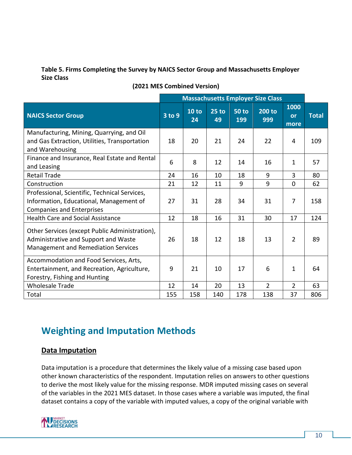## **Table 5. Firms Completing the Survey by NAICS Sector Group and Massachusetts Employer Size Class**

|                                                                                                                                      | <b>Massachusetts Employer Size Class</b> |                        |               |                |                |                    |              |
|--------------------------------------------------------------------------------------------------------------------------------------|------------------------------------------|------------------------|---------------|----------------|----------------|--------------------|--------------|
| <b>NAICS Sector Group</b>                                                                                                            | 3 to 9                                   | 10 <sub>to</sub><br>24 | $25$ to<br>49 | $50$ to<br>199 | 200 to<br>999  | 1000<br>or<br>more | <b>Total</b> |
| Manufacturing, Mining, Quarrying, and Oil<br>and Gas Extraction, Utilities, Transportation<br>and Warehousing                        | 18                                       | 20                     | 21            | 24             | 22             | 4                  | 109          |
| Finance and Insurance, Real Estate and Rental<br>and Leasing                                                                         | 6                                        | 8                      | 12            | 14             | 16             | 1                  | 57           |
| <b>Retail Trade</b>                                                                                                                  | 24                                       | 16                     | 10            | 18             | 9              | 3                  | 80           |
| Construction                                                                                                                         | 21                                       | 12                     | 11            | 9              | 9              | $\Omega$           | 62           |
| Professional, Scientific, Technical Services,<br>Information, Educational, Management of<br><b>Companies and Enterprises</b>         | 27                                       | 31                     | 28            | 34             | 31             | $\overline{7}$     | 158          |
| <b>Health Care and Social Assistance</b>                                                                                             | 12                                       | 18                     | 16            | 31             | 30             | 17                 | 124          |
| Other Services (except Public Administration),<br>Administrative and Support and Waste<br><b>Management and Remediation Services</b> | 26                                       | 18                     | 12            | 18             | 13             | $\overline{2}$     | 89           |
| Accommodation and Food Services, Arts,<br>Entertainment, and Recreation, Agriculture,<br>Forestry, Fishing and Hunting               | 9                                        | 21                     | 10            | 17             | 6              | $\mathbf{1}$       | 64           |
| <b>Wholesale Trade</b>                                                                                                               | 12                                       | 14                     | 20            | 13             | $\overline{2}$ | $\overline{2}$     | 63           |
| Total                                                                                                                                | 155                                      | 158                    | 140           | 178            | 138            | 37                 | 806          |

# **(2021 MES Combined Version)**

# <span id="page-11-0"></span>**Weighting and Imputation Methods**

# **Data Imputation**

Data imputation is a procedure that determines the likely value of a missing case based upon other known characteristics of the respondent. Imputation relies on answers to other questions to derive the most likely value for the missing response. MDR imputed missing cases on several of the variables in the 2021 MES dataset. In those cases where a variable was imputed, the final dataset contains a copy of the variable with imputed values, a copy of the original variable with

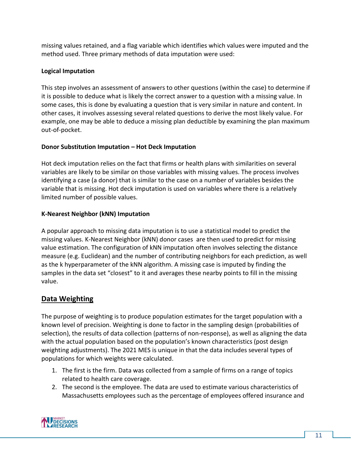missing values retained, and a flag variable which identifies which values were imputed and the method used. Three primary methods of data imputation were used:

## **Logical Imputation**

This step involves an assessment of answers to other questions (within the case) to determine if it is possible to deduce what is likely the correct answer to a question with a missing value. In some cases, this is done by evaluating a question that is very similar in nature and content. In other cases, it involves assessing several related questions to derive the most likely value. For example, one may be able to deduce a missing plan deductible by examining the plan maximum out-of-pocket.

## **Donor Substitution Imputation – Hot Deck Imputation**

Hot deck imputation relies on the fact that firms or health plans with similarities on several variables are likely to be similar on those variables with missing values. The process involves identifying a case (a donor) that is similar to the case on a number of variables besides the variable that is missing. Hot deck imputation is used on variables where there is a relatively limited number of possible values.

## **K-Nearest Neighbor (kNN) Imputation**

A popular approach to missing data imputation is to use a statistical model to predict the missing values. K-Nearest Neighbor (kNN) donor cases are then used to predict for missing value estimation. The configuration of kNN imputation often involves selecting the distance measure (e.g. Euclidean) and the number of contributing neighbors for each prediction, as well as the k hyperparameter of the kNN algorithm. A missing case is imputed by finding the samples in the data set "closest" to it and averages these nearby points to fill in the missing value.

# **Data Weighting**

The purpose of weighting is to produce population estimates for the target population with a known level of precision. Weighting is done to factor in the sampling design (probabilities of selection), the results of data collection (patterns of non-response), as well as aligning the data with the actual population based on the population's known characteristics (post design weighting adjustments). The 2021 MES is unique in that the data includes several types of populations for which weights were calculated.

- 1. The first is the firm. Data was collected from a sample of firms on a range of topics related to health care coverage.
- 2. The second is the employee. The data are used to estimate various characteristics of Massachusetts employees such as the percentage of employees offered insurance and

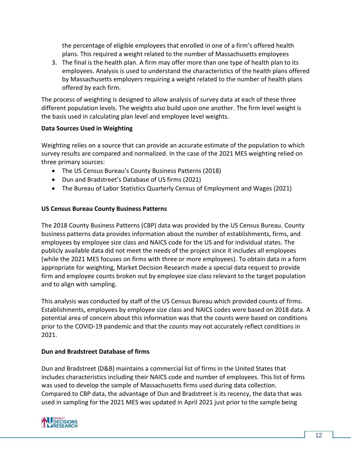the percentage of eligible employees that enrolled in one of a firm's offered health plans. This required a weight related to the number of Massachusetts employees

3. The final is the health plan. A firm may offer more than one type of health plan to its employees. Analysis is used to understand the characteristics of the health plans offered by Massachusetts employers requiring a weight related to the number of health plans offered by each firm.

The process of weighting is designed to allow analysis of survey data at each of these three different population levels. The weights also build upon one another. The firm level weight is the basis used in calculating plan level and employee level weights.

## **Data Sources Used in Weighting**

Weighting relies on a source that can provide an accurate estimate of the population to which survey results are compared and normalized. In the case of the 2021 MES weighting relied on three primary sources:

- The US Census Bureau's County Business Patterns (2018)
- Dun and Bradstreet's Database of US firms (2021)
- The Bureau of Labor Statistics Quarterly Census of Employment and Wages (2021)

#### **US Census Bureau County Business Patterns**

The 2018 County Business Patterns (CBP) data was provided by the US Census Bureau. County business patterns data provides information about the number of establishments, firms, and employees by employee size class and NAICS code for the US and for individual states. The publicly available data did not meet the needs of the project since it includes all employees (while the 2021 MES focuses on firms with three or more employees). To obtain data in a form appropriate for weighting, Market Decision Research made a special data request to provide firm and employee counts broken out by employee size class relevant to the target population and to align with sampling.

This analysis was conducted by staff of the US Census Bureau which provided counts of firms. Establishments, employees by employee size class and NAICS codes were based on 2018 data. A potential area of concern about this information was that the counts were based on conditions prior to the COVID-19 pandemic and that the counts may not accurately reflect conditions in 2021.

#### **Dun and Bradstreet Database of firms**

Dun and Bradstreet (D&B) maintains a commercial list of firms in the United States that includes characteristics including their NAICS code and number of employees. This list of firms was used to develop the sample of Massachusetts firms used during data collection. Compared to CBP data, the advantage of Dun and Bradstreet is its recency, the data that was used in sampling for the 2021 MES was updated in April 2021 just prior to the sample being

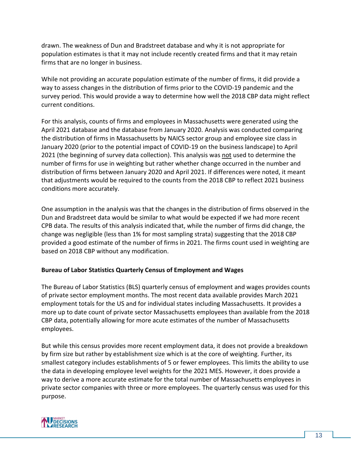drawn. The weakness of Dun and Bradstreet database and why it is not appropriate for population estimates is that it may not include recently created firms and that it may retain firms that are no longer in business.

While not providing an accurate population estimate of the number of firms, it did provide a way to assess changes in the distribution of firms prior to the COVID-19 pandemic and the survey period. This would provide a way to determine how well the 2018 CBP data might reflect current conditions.

For this analysis, counts of firms and employees in Massachusetts were generated using the April 2021 database and the database from January 2020. Analysis was conducted comparing the distribution of firms in Massachusetts by NAICS sector group and employee size class in January 2020 (prior to the potential impact of COVID-19 on the business landscape) to April 2021 (the beginning of survey data collection). This analysis was not used to determine the number of firms for use in weighting but rather whether change occurred in the number and distribution of firms between January 2020 and April 2021. If differences were noted, it meant that adjustments would be required to the counts from the 2018 CBP to reflect 2021 business conditions more accurately.

One assumption in the analysis was that the changes in the distribution of firms observed in the Dun and Bradstreet data would be similar to what would be expected if we had more recent CPB data. The results of this analysis indicated that, while the number of firms did change, the change was negligible (less than 1% for most sampling strata) suggesting that the 2018 CBP provided a good estimate of the number of firms in 2021. The firms count used in weighting are based on 2018 CBP without any modification.

#### **Bureau of Labor Statistics Quarterly Census of Employment and Wages**

The Bureau of Labor Statistics (BLS) quarterly census of employment and wages provides counts of private sector employment months. The most recent data available provides March 2021 employment totals for the US and for individual states including Massachusetts. It provides a more up to date count of private sector Massachusetts employees than available from the 2018 CBP data, potentially allowing for more acute estimates of the number of Massachusetts employees.

But while this census provides more recent employment data, it does not provide a breakdown by firm size but rather by establishment size which is at the core of weighting. Further, its smallest category includes establishments of 5 or fewer employees. This limits the ability to use the data in developing employee level weights for the 2021 MES. However, it does provide a way to derive a more accurate estimate for the total number of Massachusetts employees in private sector companies with three or more employees. The quarterly census was used for this purpose.

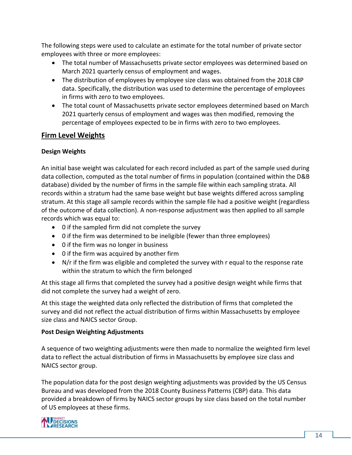The following steps were used to calculate an estimate for the total number of private sector employees with three or more employees:

- The total number of Massachusetts private sector employees was determined based on March 2021 quarterly census of employment and wages.
- The distribution of employees by employee size class was obtained from the 2018 CBP data. Specifically, the distribution was used to determine the percentage of employees in firms with zero to two employees.
- The total count of Massachusetts private sector employees determined based on March 2021 quarterly census of employment and wages was then modified, removing the percentage of employees expected to be in firms with zero to two employees.

# **Firm Level Weights**

## **Design Weights**

An initial base weight was calculated for each record included as part of the sample used during data collection, computed as the total number of firms in population (contained within the D&B database) divided by the number of firms in the sample file within each sampling strata. All records within a stratum had the same base weight but base weights differed across sampling stratum. At this stage all sample records within the sample file had a positive weight (regardless of the outcome of data collection). A non-response adjustment was then applied to all sample records which was equal to:

- 0 if the sampled firm did not complete the survey
- 0 if the firm was determined to be ineligible (fewer than three employees)
- 0 if the firm was no longer in business
- 0 if the firm was acquired by another firm
- N/r if the firm was eligible and completed the survey with r equal to the response rate within the stratum to which the firm belonged

At this stage all firms that completed the survey had a positive design weight while firms that did not complete the survey had a weight of zero.

At this stage the weighted data only reflected the distribution of firms that completed the survey and did not reflect the actual distribution of firms within Massachusetts by employee size class and NAICS sector Group.

#### **Post Design Weighting Adjustments**

A sequence of two weighting adjustments were then made to normalize the weighted firm level data to reflect the actual distribution of firms in Massachusetts by employee size class and NAICS sector group.

The population data for the post design weighting adjustments was provided by the US Census Bureau and was developed from the 2018 County Business Patterns (CBP) data. This data provided a breakdown of firms by NAICS sector groups by size class based on the total number of US employees at these firms.

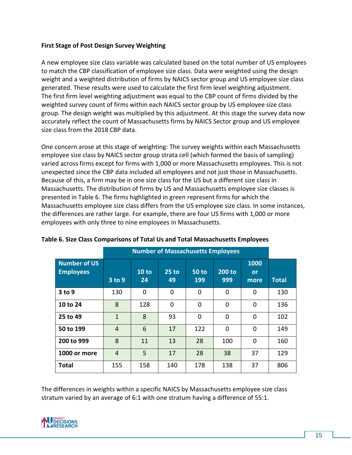#### **First Stage of Post Design Survey Weighting**

A new employee size class variable was calculated based on the total number of US employees to match the CBP classification of employee size class. Data were weighted using the design weight and a weighted distribution of firms by NAICS sector group and US employee size class generated. These results were used to calculate the first firm level weighting adjustment. The first firm level weighting adjustment was equal to the CBP count of firms divided by the weighted survey count of firms within each NAICS sector group by US employee size class group. The design weight was multiplied by this adjustment. At this stage the survey data now accurately reflect the count of Massachusetts firms by NAICS Sector group and US employee size class from the 2018 CBP data.

One concern arose at this stage of weighting: The survey weights within each Massachusetts employee size class by NAICS sector group strata cell (which formed the basis of sampling) varied across firms except for firms with 1,000 or more Massachusetts employees. This is not unexpected since the CBP data included all employees and not just those in Massachusetts. Because of this, a firm may be in one size class for the US but a different size class in Massachusetts. The distribution of firms by US and Massachusetts employee size classes is presented in Table 6. The firms highlighted in green represent firms for which the Massachusetts employee size class differs from the US employee size class. In some instances, the differences are rather large. For example, there are four US firms with 1,000 or more employees with only three to nine employees in Massachusetts.

|                                         | <b>Number of Massachusetts Employees</b> |             |               |                     |               |                    |              |
|-----------------------------------------|------------------------------------------|-------------|---------------|---------------------|---------------|--------------------|--------------|
| <b>Number of US</b><br><b>Employees</b> | 3 to 9                                   | 10 to<br>24 | $25$ to<br>49 | <b>50 to</b><br>199 | 200 to<br>999 | 1000<br>or<br>more | <b>Total</b> |
| 3 to 9                                  | 130                                      | 0           | 0             | 0                   | $\Omega$      | 0                  | 130          |
| 10 to 24                                | 8                                        | 128         | 0             | 0                   | 0             | 0                  | 136          |
| 25 to 49                                | $\mathbf{1}$                             | 8           | 93            | 0                   | 0             | 0                  | 102          |
| 50 to 199                               | 4                                        | 6           | 17            | 122                 | 0             | 0                  | 149          |
| 200 to 999                              | 8                                        | 11          | 13            | 28                  | 100           | 0                  | 160          |
| 1000 or more                            | 4                                        | 5           | 17            | 28                  | 38            | 37                 | 129          |
| <b>Total</b>                            | 155                                      | 158         | 140           | 178                 | 138           | 37                 | 806          |

**Table 6. Size Class Comparisons of Total Us and Total Massachusetts Employees**

The differences in weights within a specific NAICS by Massachusetts employee size class stratum varied by an average of 6:1 with one stratum having a difference of 55:1.

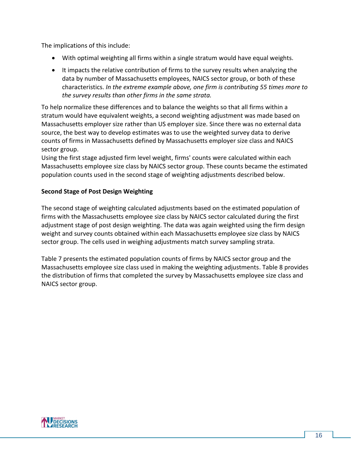The implications of this include:

- With optimal weighting all firms within a single stratum would have equal weights.
- It impacts the relative contribution of firms to the survey results when analyzing the data by number of Massachusetts employees, NAICS sector group, or both of these characteristics. *In the extreme example above, one firm is contributing 55 times more to the survey results than other firms in the same strata.*

To help normalize these differences and to balance the weights so that all firms within a stratum would have equivalent weights, a second weighting adjustment was made based on Massachusetts employer size rather than US employer size. Since there was no external data source, the best way to develop estimates was to use the weighted survey data to derive counts of firms in Massachusetts defined by Massachusetts employer size class and NAICS sector group.

Using the first stage adjusted firm level weight, firms' counts were calculated within each Massachusetts employee size class by NAICS sector group. These counts became the estimated population counts used in the second stage of weighting adjustments described below.

## **Second Stage of Post Design Weighting**

The second stage of weighting calculated adjustments based on the estimated population of firms with the Massachusetts employee size class by NAICS sector calculated during the first adjustment stage of post design weighting. The data was again weighted using the firm design weight and survey counts obtained within each Massachusetts employee size class by NAICS sector group. The cells used in weighing adjustments match survey sampling strata.

Table 7 presents the estimated population counts of firms by NAICS sector group and the Massachusetts employee size class used in making the weighting adjustments. Table 8 provides the distribution of firms that completed the survey by Massachusetts employee size class and NAICS sector group.

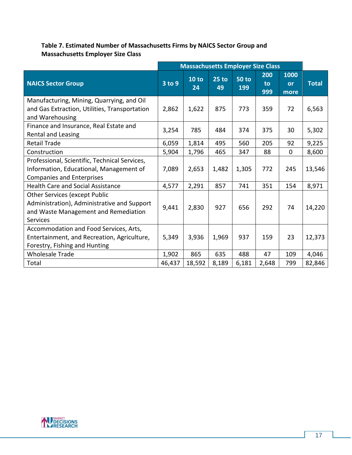# **Table 7. Estimated Number of Massachusetts Firms by NAICS Sector Group and Massachusetts Employer Size Class**

|                                                                                                                                                | <b>Massachusetts Employer Size Class</b> |             |               |                     |                  |                    |              |
|------------------------------------------------------------------------------------------------------------------------------------------------|------------------------------------------|-------------|---------------|---------------------|------------------|--------------------|--------------|
| <b>NAICS Sector Group</b>                                                                                                                      | 3 to 9                                   | 10 to<br>24 | $25$ to<br>49 | <b>50 to</b><br>199 | 200<br>to<br>999 | 1000<br>or<br>more | <b>Total</b> |
| Manufacturing, Mining, Quarrying, and Oil<br>and Gas Extraction, Utilities, Transportation<br>and Warehousing                                  | 2,862                                    | 1,622       | 875           | 773                 | 359              | 72                 | 6,563        |
| Finance and Insurance, Real Estate and<br>Rental and Leasing                                                                                   | 3,254                                    | 785         | 484           | 374                 | 375              | 30                 | 5,302        |
| <b>Retail Trade</b>                                                                                                                            | 6,059                                    | 1,814       | 495           | 560                 | 205              | 92                 | 9,225        |
| Construction                                                                                                                                   | 5,904                                    | 1,796       | 465           | 347                 | 88               | $\mathbf 0$        | 8,600        |
| Professional, Scientific, Technical Services,<br>Information, Educational, Management of<br><b>Companies and Enterprises</b>                   | 7,089                                    | 2,653       | 1,482         | 1,305               | 772              | 245                | 13,546       |
| <b>Health Care and Social Assistance</b>                                                                                                       | 4,577                                    | 2,291       | 857           | 741                 | 351              | 154                | 8,971        |
| <b>Other Services (except Public</b><br>Administration), Administrative and Support<br>and Waste Management and Remediation<br><b>Services</b> | 9,441                                    | 2,830       | 927           | 656                 | 292              | 74                 | 14,220       |
| Accommodation and Food Services, Arts,<br>Entertainment, and Recreation, Agriculture,<br>Forestry, Fishing and Hunting                         | 5,349                                    | 3,936       | 1,969         | 937                 | 159              | 23                 | 12,373       |
| <b>Wholesale Trade</b>                                                                                                                         | 1,902                                    | 865         | 635           | 488                 | 47               | 109                | 4,046        |
| Total                                                                                                                                          | 46,437                                   | 18,592      | 8,189         | 6,181               | 2,648            | 799                | 82,846       |

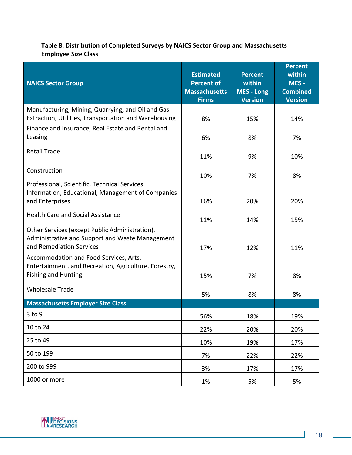# **Table 8. Distribution of Completed Surveys by NAICS Sector Group and Massachusetts Employee Size Class**

| <b>NAICS Sector Group</b>                                                                                                     | <b>Estimated</b><br><b>Percent of</b><br><b>Massachusetts</b><br><b>Firms</b> | <b>Percent</b><br>within<br><b>MES - Long</b><br><b>Version</b> | <b>Percent</b><br>within<br>MES-<br><b>Combined</b><br><b>Version</b> |
|-------------------------------------------------------------------------------------------------------------------------------|-------------------------------------------------------------------------------|-----------------------------------------------------------------|-----------------------------------------------------------------------|
| Manufacturing, Mining, Quarrying, and Oil and Gas                                                                             |                                                                               |                                                                 |                                                                       |
| Extraction, Utilities, Transportation and Warehousing                                                                         | 8%                                                                            | 15%                                                             | 14%                                                                   |
| Finance and Insurance, Real Estate and Rental and<br>Leasing                                                                  | 6%                                                                            | 8%                                                              | 7%                                                                    |
| <b>Retail Trade</b>                                                                                                           | 11%                                                                           | 9%                                                              | 10%                                                                   |
| Construction                                                                                                                  | 10%                                                                           | 7%                                                              | 8%                                                                    |
| Professional, Scientific, Technical Services,<br>Information, Educational, Management of Companies<br>and Enterprises         | 16%                                                                           | 20%                                                             | 20%                                                                   |
| <b>Health Care and Social Assistance</b>                                                                                      | 11%                                                                           | 14%                                                             | 15%                                                                   |
| Other Services (except Public Administration),<br>Administrative and Support and Waste Management<br>and Remediation Services | 17%                                                                           | 12%                                                             | 11%                                                                   |
| Accommodation and Food Services, Arts,<br>Entertainment, and Recreation, Agriculture, Forestry,<br><b>Fishing and Hunting</b> | 15%                                                                           | 7%                                                              | 8%                                                                    |
| <b>Wholesale Trade</b>                                                                                                        | 5%                                                                            | 8%                                                              | 8%                                                                    |
| <b>Massachusetts Employer Size Class</b>                                                                                      |                                                                               |                                                                 |                                                                       |
| $3$ to $9$                                                                                                                    | 56%                                                                           | 18%                                                             | 19%                                                                   |
| 10 to 24                                                                                                                      | 22%                                                                           | 20%                                                             | 20%                                                                   |
| 25 to 49                                                                                                                      | 10%                                                                           | 19%                                                             | 17%                                                                   |
| 50 to 199                                                                                                                     | 7%                                                                            | 22%                                                             | 22%                                                                   |
| 200 to 999                                                                                                                    | 3%                                                                            | 17%                                                             | 17%                                                                   |
| 1000 or more                                                                                                                  | 1%                                                                            | 5%                                                              | 5%                                                                    |

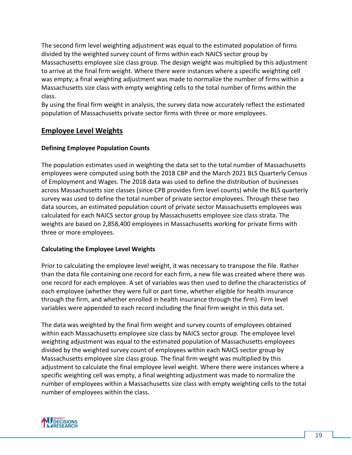The second firm level weighting adjustment was equal to the estimated population of firms divided by the weighted survey count of firms within each NAICS sector group by Massachusetts employee size class group. The design weight was multiplied by this adjustment to arrive at the final firm weight. Where there were instances where a specific weighting cell was empty; a final weighting adjustment was made to normalize the number of firms within a Massachusetts size class with empty weighting cells to the total number of firms within the class.

By using the final firm weight in analysis, the survey data now accurately reflect the estimated population of Massachusetts private sector firms with three or more employees.

# **Employee Level Weights**

## **Defining Employee Population Counts**

The population estimates used in weighting the data set to the total number of Massachusetts employees were computed using both the 2018 CBP and the March 2021 BLS Quarterly Census of Employment and Wages. The 2018 data was used to define the distribution of businesses across Massachusetts size classes (since CPB provides firm level counts) while the BLS quarterly survey was used to define the total number of private sector employees. Through these two data sources, an estimated population count of private sector Massachusetts employees was calculated for each NAICS sector group by Massachusetts employee size class strata. The weights are based on 2,858,400 employees in Massachusetts working for private firms with three or more employees.

#### **Calculating the Employee Level Weights**

Prior to calculating the employee level weight, it was necessary to transpose the file. Rather than the data file containing one record for each firm, a new file was created where there was one record for each employee. A set of variables was then used to define the characteristics of each employee (whether they were full or part time, whether eligible for health insurance through the firm, and whether enrolled in health insurance through the firm). Firm level variables were appended to each record including the final firm weight in this data set.

The data was weighted by the final firm weight and survey counts of employees obtained within each Massachusetts employee size class by NAICS sector group. The employee level weighting adjustment was equal to the estimated population of Massachusetts employees divided by the weighted survey count of employees within each NAICS sector group by Massachusetts employee size class group. The final firm weight was multiplied by this adjustment to calculate the final employee level weight. Where there were instances where a specific weighting cell was empty, a final weighting adjustment was made to normalize the number of employees within a Massachusetts size class with empty weighting cells to the total number of employees within the class.

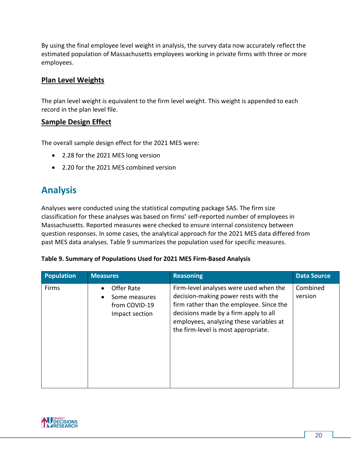By using the final employee level weight in analysis, the survey data now accurately reflect the estimated population of Massachusetts employees working in private firms with three or more employees.

# **Plan Level Weights**

The plan level weight is equivalent to the firm level weight. This weight is appended to each record in the plan level file.

# **Sample Design Effect**

The overall sample design effect for the 2021 MES were:

- 2.28 for the 2021 MES long version
- 2.20 for the 2021 MES combined version

# <span id="page-21-0"></span>**Analysis**

Analyses were conducted using the statistical computing package SAS. The firm size classification for these analyses was based on firms' self-reported number of employees in Massachusetts. Reported measures were checked to ensure internal consistency between question responses. In some cases, the analytical approach for the 2021 MES data differed from past MES data analyses. Table 9 summarizes the population used for specific measures.

#### **Table 9. Summary of Populations Used for 2021 MES Firm-Based Analysis**

| <b>Population</b> | <b>Measures</b>                                                             | <b>Reasoning</b>                                                                                                                                                                                                                                      | <b>Data Source</b>  |
|-------------------|-----------------------------------------------------------------------------|-------------------------------------------------------------------------------------------------------------------------------------------------------------------------------------------------------------------------------------------------------|---------------------|
| Firms             | Offer Rate<br>Some measures<br>$\bullet$<br>from COVID-19<br>Impact section | Firm-level analyses were used when the<br>decision-making power rests with the<br>firm rather than the employee. Since the<br>decisions made by a firm apply to all<br>employees, analyzing these variables at<br>the firm-level is most appropriate. | Combined<br>version |

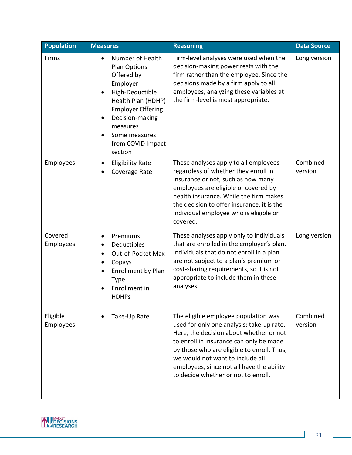| <b>Population</b>     | <b>Measures</b>                                                                                                                                                                                                              | <b>Reasoning</b>                                                                                                                                                                                                                                                                                                                              | <b>Data Source</b>  |
|-----------------------|------------------------------------------------------------------------------------------------------------------------------------------------------------------------------------------------------------------------------|-----------------------------------------------------------------------------------------------------------------------------------------------------------------------------------------------------------------------------------------------------------------------------------------------------------------------------------------------|---------------------|
| Firms                 | Number of Health<br>Plan Options<br>Offered by<br>Employer<br>High-Deductible<br>Health Plan (HDHP)<br><b>Employer Offering</b><br>Decision-making<br>$\bullet$<br>measures<br>Some measures<br>from COVID Impact<br>section | Firm-level analyses were used when the<br>decision-making power rests with the<br>firm rather than the employee. Since the<br>decisions made by a firm apply to all<br>employees, analyzing these variables at<br>the firm-level is most appropriate.                                                                                         | Long version        |
| Employees             | <b>Eligibility Rate</b><br>٠<br>Coverage Rate                                                                                                                                                                                | These analyses apply to all employees<br>regardless of whether they enroll in<br>insurance or not, such as how many<br>employees are eligible or covered by<br>health insurance. While the firm makes<br>the decision to offer insurance, it is the<br>individual employee who is eligible or<br>covered.                                     | Combined<br>version |
| Covered<br>Employees  | Premiums<br>$\bullet$<br>Deductibles<br>Out-of-Pocket Max<br>$\bullet$<br>Copays<br>$\bullet$<br><b>Enrollment by Plan</b><br><b>Type</b><br>Enrollment in<br><b>HDHPs</b>                                                   | These analyses apply only to individuals<br>that are enrolled in the employer's plan.<br>Individuals that do not enroll in a plan<br>are not subject to a plan's premium or<br>cost-sharing requirements, so it is not<br>appropriate to include them in these<br>analyses.                                                                   | Long version        |
| Eligible<br>Employees | Take-Up Rate                                                                                                                                                                                                                 | The eligible employee population was<br>used for only one analysis: take-up rate.<br>Here, the decision about whether or not<br>to enroll in insurance can only be made<br>by those who are eligible to enroll. Thus,<br>we would not want to include all<br>employees, since not all have the ability<br>to decide whether or not to enroll. | Combined<br>version |